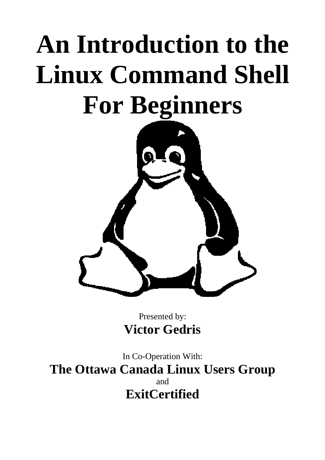# **An Introduction to the Linux Command Shell For Beginners**



Presented by: **Victor Gedris**

In Co-Operation With: **The Ottawa Canada Linux Users Group** and **ExitCertified**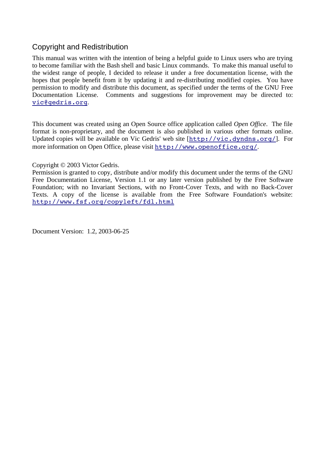### Copyright and Redistribution

This manual was written with the intention of being a helpful guide to Linux users who are trying to become familiar with the Bash shell and basic Linux commands. To make this manual useful to the widest range of people, I decided to release it under a free documentation license, with the hopes that people benefit from it by updating it and re-distributing modified copies. You have permission to modify and distribute this document, as specified under the terms of the GNU Free Documentation License. Comments and suggestions for improvement may be directed to: vic@gedris.org.

This document was created using an Open Source office application called *Open Office*. The file format is non-proprietary, and the document is also published in various other formats online. Updated copies will be available on Vic Gedris' web site [http://vic.dyndns.org/]. For more information on Open Office, please visit http://www.openoffice.org/.

#### Copyright © 2003 Victor Gedris.

Permission is granted to copy, distribute and/or modify this document under the terms of the GNU Free Documentation License, Version 1.1 or any later version published by the Free Software Foundation; with no Invariant Sections, with no Front-Cover Texts, and with no Back-Cover Texts. A copy of the license is available from the Free Software Foundation's website: http://www.fsf.org/copyleft/fdl.html

Document Version: 1.2, 2003-06-25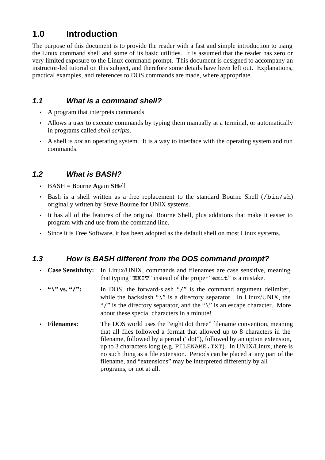# **1.0 Introduction**

The purpose of this document is to provide the reader with a fast and simple introduction to using the Linux command shell and some of its basic utilities. It is assumed that the reader has zero or very limited exposure to the Linux command prompt. This document is designed to accompany an instructor-led tutorial on this subject, and therefore some details have been left out. Explanations, practical examples, and references to DOS commands are made, where appropriate.

## **1.1 What is a command shell?**

- A program that interprets commands
- Allows a user to execute commands by typing them manually at a terminal, or automatically in programs called *shell scripts*.
- A shell is *not* an operating system. It is a way to interface with the operating system and run commands.

## **1.2 What is BASH?**

- BASH = **B**ourne **A**gain **SH**ell
- Bash is a shell written as a free replacement to the standard Bourne Shell (/bin/sh) originally written by Steve Bourne for UNIX systems.
- It has all of the features of the original Bourne Shell, plus additions that make it easier to program with and use from the command line.
- Since it is Free Software, it has been adopted as the default shell on most Linux systems.

## **1.3 How is BASH different from the DOS command prompt?**

- Case Sensitivity: In Linux/UNIX, commands and filenames are case sensitive, meaning that typing "EXIT" instead of the proper "exit" is a mistake.
- $\cdot$  " $\sqrt{''}$  vs. "/": In DOS, the forward-slash "/" is the command argument delimiter, while the backslash "\" is a directory separator. In Linux/UNIX, the "/" is the directory separator, and the "\" is an escape character. More about these special characters in a minute!
- Filenames: The DOS world uses the "eight dot three" filename convention, meaning that all files followed a format that allowed up to 8 characters in the filename, followed by a period ("dot"), followed by an option extension, up to 3 characters long (e.g. FILENAME.TXT). In UNIX/Linux, there is no such thing as a file extension. Periods can be placed at any part of the filename, and "extensions" may be interpreted differently by all programs, or not at all.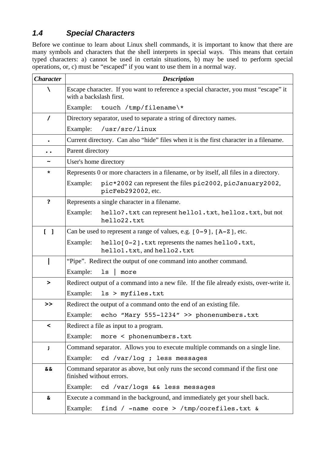# **1.4 Special Characters**

Before we continue to learn about Linux shell commands, it is important to know that there are many symbols and characters that the shell interprets in special ways. This means that certain typed characters: a) cannot be used in certain situations, b) may be used to perform special operations, or, c) must be "escaped" if you want to use them in a normal way.

| <b>Character</b>                  | <b>Description</b>                                                                                              |  |  |
|-----------------------------------|-----------------------------------------------------------------------------------------------------------------|--|--|
|                                   | Escape character. If you want to reference a special character, you must "escape" it<br>with a backslash first. |  |  |
|                                   | Example:<br>touch /tmp/filename\*                                                                               |  |  |
| $\prime$                          | Directory separator, used to separate a string of directory names.                                              |  |  |
|                                   | Example:<br>/usr/src/linux                                                                                      |  |  |
|                                   | Current directory. Can also "hide" files when it is the first character in a filename.                          |  |  |
|                                   | Parent directory                                                                                                |  |  |
|                                   | User's home directory                                                                                           |  |  |
| *                                 | Represents 0 or more characters in a filename, or by itself, all files in a directory.                          |  |  |
|                                   | pic*2002 can represent the files pic2002, picJanuary2002,<br>Example:<br>picFeb292002, etc.                     |  |  |
| ?                                 | Represents a single character in a filename.                                                                    |  |  |
|                                   | Example:<br>hello?.txt can represent hello1.txt, helloz.txt, but not<br>hello22.txt                             |  |  |
| $\begin{bmatrix} 1 \end{bmatrix}$ | Can be used to represent a range of values, e.g. $[0-9]$ , $[A-Z]$ , etc.                                       |  |  |
|                                   | hello[0-2].txt represents the names hello0.txt,<br>Example:<br>hellol.txt, and hello2.txt                       |  |  |
|                                   | "Pipe". Redirect the output of one command into another command.                                                |  |  |
|                                   | Example:<br>1s<br>more                                                                                          |  |  |
| $\blacktriangleright$             | Redirect output of a command into a new file. If the file already exists, over-write it.                        |  |  |
|                                   | Example:<br>$ls$ > myfiles.txt                                                                                  |  |  |
| $\rightarrow$                     | Redirect the output of a command onto the end of an existing file.                                              |  |  |
|                                   | echo "Mary 555-1234" >> phonenumbers.txt<br>Example:                                                            |  |  |
| $\prec$                           | Redirect a file as input to a program.                                                                          |  |  |
|                                   | Example:<br>more < phonenumbers.txt                                                                             |  |  |
| $\ddot{ }$                        | Command separator. Allows you to execute multiple commands on a single line.                                    |  |  |
|                                   | Example:<br>cd /var/log ; less messages                                                                         |  |  |
| & &                               | Command separator as above, but only runs the second command if the first one<br>finished without errors.       |  |  |
|                                   | Example:<br>cd /var/logs && less messages                                                                       |  |  |
| <b>&amp;</b>                      | Execute a command in the background, and immediately get your shell back.                                       |  |  |
|                                   | find / -name core > /tmp/corefiles.txt &<br>Example:                                                            |  |  |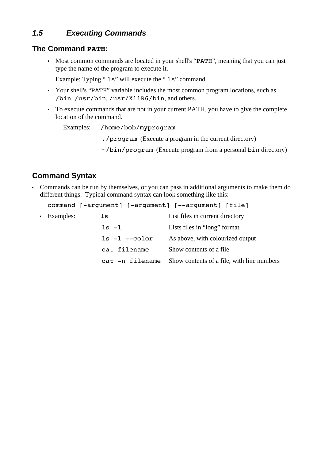## **1.5 Executing Commands**

#### **The Command PATH:**

 Most common commands are located in your shell's "PATH", meaning that you can just type the name of the program to execute it.

Example: Typing "  $ls$ " will execute the "  $ls$ " command.

- Your shell's "PATH" variable includes the most common program locations, such as /bin, /usr/bin, /usr/X11R6/bin, and others.
- To execute commands that are not in your current PATH, you have to give the complete location of the command.

Examples: /home/bob/myprogram

- ./program (Execute a program in the current directory)
- ~/bin/program (Execute program from a personal bin directory)

### **Command Syntax**

 Commands can be run by themselves, or you can pass in additional arguments to make them do different things. Typical command syntax can look something like this:

|             | command [-argument] [-argument] [--argument] [file] |                                            |
|-------------|-----------------------------------------------------|--------------------------------------------|
| • Examples: | ls                                                  | List files in current directory            |
|             | $ls -1$                                             | Lists files in "long" format               |
|             | $ls -l$ --color                                     | As above, with colourized output           |
|             | cat filename                                        | Show contents of a file.                   |
|             | cat -n filename                                     | Show contents of a file, with line numbers |
|             |                                                     |                                            |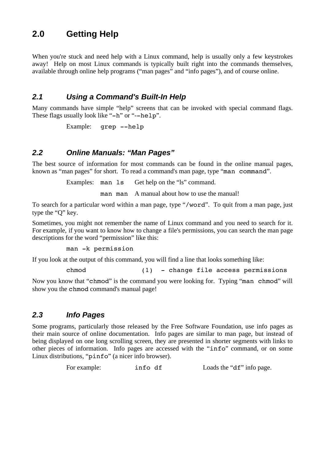# **2.0 Getting Help**

When you're stuck and need help with a Linux command, help is usually only a few keystrokes away! Help on most Linux commands is typically built right into the commands themselves, available through online help programs ("man pages" and "info pages"), and of course online.

#### **2.1 Using a Command's Built-In Help**

Many commands have simple "help" screens that can be invoked with special command flags. These flags usually look like "-h" or "--help".

Example: grep --help

#### **2.2 Online Manuals: "Man Pages"**

The best source of information for most commands can be found in the online manual pages, known as "man pages" for short. To read a command's man page, type "man command".

Examples: man 1s Get help on the "ls" command.

man man A manual about how to use the manual!

To search for a particular word within a man page, type "/word". To quit from a man page, just type the "Q" key.

Sometimes, you might not remember the name of Linux command and you need to search for it. For example, if you want to know how to change a file's permissions, you can search the man page descriptions for the word "permission" like this:

man -k permission

If you look at the output of this command, you will find a line that looks something like:

chmod (1) - change file access permissions

Now you know that "chmod" is the command you were looking for. Typing "man chmod" will show you the chmod command's manual page!

#### **2.3 Info Pages**

Some programs, particularly those released by the Free Software Foundation, use info pages as their main source of online documentation. Info pages are similar to man page, but instead of being displayed on one long scrolling screen, they are presented in shorter segments with links to other pieces of information. Info pages are accessed with the "info" command, or on some Linux distributions, "pinfo" (a nicer info browser).

For example: info df Loads the "df" info page.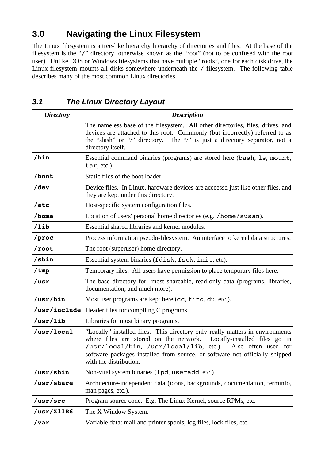# **3.0 Navigating the Linux Filesystem**

The Linux filesystem is a tree-like hierarchy hierarchy of directories and files. At the base of the filesystem is the "/" directory, otherwise known as the "root" (not to be confused with the root user). Unlike DOS or Windows filesystems that have multiple "roots", one for each disk drive, the Linux filesystem mounts all disks somewhere underneath the / filesystem. The following table describes many of the most common Linux directories.

# **3.1 The Linux Directory Layout**

| <b>Directory</b>                                                   | <b>Description</b>                                                                                                                                                                                                                                                                                                              |  |
|--------------------------------------------------------------------|---------------------------------------------------------------------------------------------------------------------------------------------------------------------------------------------------------------------------------------------------------------------------------------------------------------------------------|--|
|                                                                    | The nameless base of the filesystem. All other directories, files, drives, and<br>devices are attached to this root. Commonly (but incorrectly) referred to as<br>the "slash" or "/" directory. The "/" is just a directory separator, not a<br>directory itself.                                                               |  |
| /bin                                                               | Essential command binaries (programs) are stored here (bash, 1s, mount,<br>tar, etc.)                                                                                                                                                                                                                                           |  |
| /boot                                                              | Static files of the boot loader.                                                                                                                                                                                                                                                                                                |  |
| /dev                                                               | Device files. In Linux, hardware devices are acceessd just like other files, and<br>they are kept under this directory.                                                                                                                                                                                                         |  |
| /etc                                                               | Host-specific system configuration files.                                                                                                                                                                                                                                                                                       |  |
| /home                                                              | Location of users' personal home directories (e.g. / home/susan).                                                                                                                                                                                                                                                               |  |
| /lib                                                               | Essential shared libraries and kernel modules.                                                                                                                                                                                                                                                                                  |  |
| /proc                                                              | Process information pseudo-filesystem. An interface to kernel data structures.                                                                                                                                                                                                                                                  |  |
| /root                                                              | The root (superuser) home directory.                                                                                                                                                                                                                                                                                            |  |
| /sbin<br>Essential system binaries (fdisk, fsck, init, etc).       |                                                                                                                                                                                                                                                                                                                                 |  |
| /tmp                                                               | Temporary files. All users have permission to place temporary files here.                                                                                                                                                                                                                                                       |  |
| /usr                                                               | The base directory for most shareable, read-only data (programs, libraries,<br>documentation, and much more).                                                                                                                                                                                                                   |  |
| /usr/bin<br>Most user programs are kept here (cc, find, du, etc.). |                                                                                                                                                                                                                                                                                                                                 |  |
| /usr/include                                                       | Header files for compiling C programs.                                                                                                                                                                                                                                                                                          |  |
| /usr/lib                                                           | Libraries for most binary programs.                                                                                                                                                                                                                                                                                             |  |
| /usr/local                                                         | "Locally" installed files. This directory only really matters in environments<br>where files are stored on the network.<br>Locally-installed files go in<br>/usr/local/bin, /usr/local/lib, etc.). Also often used for<br>software packages installed from source, or software not officially shipped<br>with the distribution. |  |
| /usr/sbin                                                          | Non-vital system binaries (1pd, useradd, etc.)                                                                                                                                                                                                                                                                                  |  |
| /usr/share                                                         | Architecture-independent data (icons, backgrounds, documentation, terminfo,<br>man pages, etc.).                                                                                                                                                                                                                                |  |
| /usr/src                                                           | Program source code. E.g. The Linux Kernel, source RPMs, etc.                                                                                                                                                                                                                                                                   |  |
| $\sqrt{usr/X11R6}$                                                 | The X Window System.                                                                                                                                                                                                                                                                                                            |  |
| /var                                                               | Variable data: mail and printer spools, log files, lock files, etc.                                                                                                                                                                                                                                                             |  |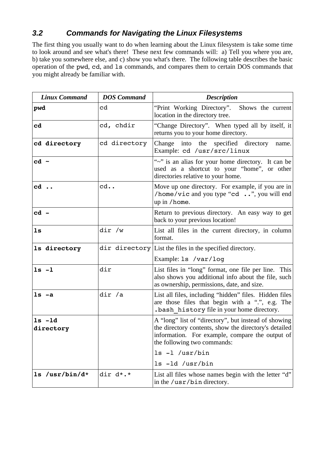# **3.2 Commands for Navigating the Linux Filesystems**

The first thing you usually want to do when learning about the Linux filesystem is take some time to look around and see what's there! These next few commands will: a) Tell you where you are, b) take you somewhere else, and c) show you what's there. The following table describes the basic operation of the pwd, cd, and ls commands, and compares them to certain DOS commands that you might already be familiar with.

| <b>Linux Command</b>    | <b>DOS</b> Command | <b>Description</b>                                                                                                                                                                              |
|-------------------------|--------------------|-------------------------------------------------------------------------------------------------------------------------------------------------------------------------------------------------|
| pwd                     | cd                 | "Print Working Directory". Shows the current<br>location in the directory tree.                                                                                                                 |
| cd                      | cd, chdir          | "Change Directory". When typed all by itself, it<br>returns you to your home directory.                                                                                                         |
| cd directory            | cd directory       | Change into the specified directory<br>name.<br>Example: cd /usr/src/linux                                                                                                                      |
| $cd$ ~                  |                    | "~" is an alias for your home directory. It can be<br>used as a shortcut to your "home", or other<br>directories relative to your home.                                                         |
| cd                      | cd                 | Move up one directory. For example, if you are in<br>/home/vic and you type "cd ", you will end<br>up in / home.                                                                                |
| $cd -$                  |                    | Return to previous directory. An easy way to get<br>back to your previous location!                                                                                                             |
| 1s                      | dir /w             | List all files in the current directory, in column<br>format.                                                                                                                                   |
| 1s directory            |                    | dir directory List the files in the specified directory.                                                                                                                                        |
|                         |                    | Example: 1s /var/log                                                                                                                                                                            |
| $1s -1$                 | dir                | List files in "long" format, one file per line. This<br>also shows you additional info about the file, such<br>as ownership, permissions, date, and size.                                       |
| $ls -a$                 | dir /a             | List all files, including "hidden" files. Hidden files<br>are those files that begin with a ".", e.g. The<br>. bash history file in your home directory.                                        |
| $ls$ $-ld$<br>directory |                    | A "long" list of "directory", but instead of showing<br>the directory contents, show the directory's detailed<br>information. For example, compare the output of<br>the following two commands: |
|                         |                    | $ls -l$ /usr/bin                                                                                                                                                                                |
|                         |                    | $ls$ -1d /usr/bin                                                                                                                                                                               |
| 1s /usr/bin/d*          | dir d*.*           | List all files whose names begin with the letter "d"<br>in the /usr/bin directory.                                                                                                              |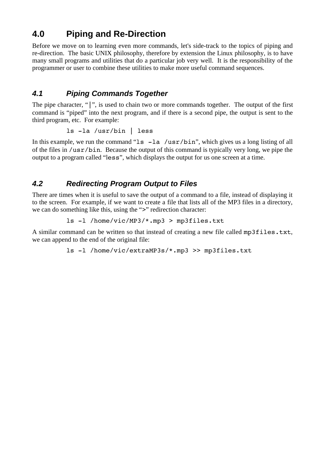# **4.0 Piping and Re-Direction**

Before we move on to learning even more commands, let's side-track to the topics of piping and re-direction. The basic UNIX philosophy, therefore by extension the Linux philosophy, is to have many small programs and utilities that do a particular job very well. It is the responsibility of the programmer or user to combine these utilities to make more useful command sequences.

# **4.1 Piping Commands Together**

The pipe character, "|", is used to chain two or more commands together. The output of the first command is "piped" into the next program, and if there is a second pipe, the output is sent to the third program, etc. For example:

ls -la /usr/bin | less

In this example, we run the command " $ls$  -la /usr/bin", which gives us a long listing of all of the files in /usr/bin. Because the output of this command is typically very long, we pipe the output to a program called "less", which displays the output for us one screen at a time.

## **4.2 Redirecting Program Output to Files**

There are times when it is useful to save the output of a command to a file, instead of displaying it to the screen. For example, if we want to create a file that lists all of the MP3 files in a directory, we can do something like this, using the ">" redirection character:

ls -l /home/vic/MP3/\*.mp3 > mp3files.txt

A similar command can be written so that instead of creating a new file called mp3files.txt, we can append to the end of the original file:

ls -l /home/vic/extraMP3s/\*.mp3 >> mp3files.txt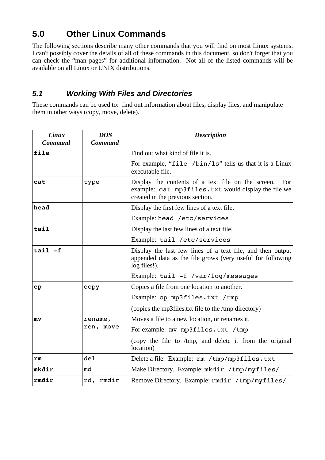# **5.0 Other Linux Commands**

The following sections describe many other commands that you will find on most Linux systems. I can't possibly cover the details of all of these commands in this document, so don't forget that you can check the "man pages" for additional information. Not all of the listed commands will be available on all Linux or UNIX distributions.

# **5.1 Working With Files and Directories**

These commands can be used to: find out information about files, display files, and manipulate them in other ways (copy, move, delete).

| Linux<br><b>Command</b> | <b>DOS</b><br><b>Command</b> | <b>Description</b>                                                                                                                                   |  |
|-------------------------|------------------------------|------------------------------------------------------------------------------------------------------------------------------------------------------|--|
| file                    |                              | Find out what kind of file it is.                                                                                                                    |  |
|                         |                              | For example, "file /bin/ls" tells us that it is a Linux<br>executable file.                                                                          |  |
| cat                     | type                         | Display the contents of a text file on the screen.<br>For<br>example: cat mp3files.txt would display the file we<br>created in the previous section. |  |
| head                    |                              | Display the first few lines of a text file.                                                                                                          |  |
|                         |                              | Example: head /etc/services                                                                                                                          |  |
| tail                    |                              | Display the last few lines of a text file.                                                                                                           |  |
|                         |                              | Example: tail /etc/services                                                                                                                          |  |
| $tail -f$               |                              | Display the last few lines of a text file, and then output<br>appended data as the file grows (very useful for following<br>log files!).             |  |
|                         |                              | Example: tail -f /var/log/messages                                                                                                                   |  |
| $\mathbf{cp}$           | copy                         | Copies a file from one location to another.                                                                                                          |  |
|                         |                              | Example: cp mp3files.txt /tmp                                                                                                                        |  |
|                         |                              | (copies the mp3files.txt file to the /tmp directory)                                                                                                 |  |
| mv                      | rename,<br>ren, move         | Moves a file to a new location, or renames it.                                                                                                       |  |
|                         |                              | For example: mv mp3files.txt /tmp                                                                                                                    |  |
|                         |                              | (copy the file to /tmp, and delete it from the original<br>location)                                                                                 |  |
| rm                      | de <sub>1</sub>              | Delete a file. Example: rm /tmp/mp3files.txt                                                                                                         |  |
| mkdir                   | md                           | Make Directory. Example: mkdir /tmp/myfiles/                                                                                                         |  |
| rmdir                   | rd, rmdir                    | Remove Directory. Example: rmdir /tmp/myfiles/                                                                                                       |  |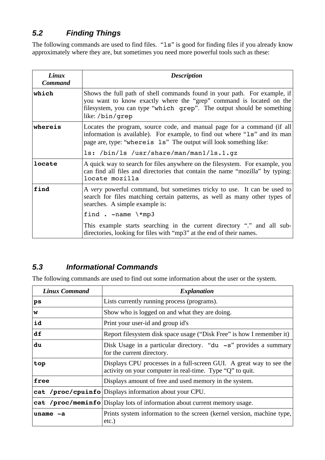# **5.2 Finding Things**

The following commands are used to find files. "1s" is good for finding files if you already know approximately where they are, but sometimes you need more powerful tools such as these:

| Linux<br><b>Command</b> | <b>Description</b>                                                                                                                                                                                                                          |  |
|-------------------------|---------------------------------------------------------------------------------------------------------------------------------------------------------------------------------------------------------------------------------------------|--|
| which                   | Shows the full path of shell commands found in your path. For example, if<br>you want to know exactly where the "grep" command is located on the<br>filesystem, you can type "which grep". The output should be something<br>like:/bin/grep |  |
| whereis                 | Locates the program, source code, and manual page for a command (if all<br>information is available). For example, to find out where "1s" and its man<br>page are, type: "where is 1s" The output will look something like:                 |  |
|                         | 1s: /bin/ls /usr/share/man/man1/ls.1.gz                                                                                                                                                                                                     |  |
| locate                  | A quick way to search for files anywhere on the filesystem. For example, you<br>can find all files and directories that contain the name "mozilla" by typing:<br>locate mozilla                                                             |  |
| find                    | A very powerful command, but sometimes tricky to use. It can be used to<br>search for files matching certain patterns, as well as many other types of<br>searches. A simple example is:                                                     |  |
|                         | find . $-name \ \ \ \ \ \ \ \ \ \$                                                                                                                                                                                                          |  |
|                         | This example starts searching in the current directory "" and all sub-<br>directories, looking for files with "mp3" at the end of their names.                                                                                              |  |

# **5.3 Informational Commands**

The following commands are used to find out some information about the user or the system.

| <b>Linux Command</b>                                                        | <b>Explanation</b>                                                                                                               |  |
|-----------------------------------------------------------------------------|----------------------------------------------------------------------------------------------------------------------------------|--|
| ps                                                                          | Lists currently running process (programs).                                                                                      |  |
| W                                                                           | Show who is logged on and what they are doing.                                                                                   |  |
| id                                                                          | Print your user-id and group id's                                                                                                |  |
| df<br>Report filesystem disk space usage ("Disk Free" is how I remember it) |                                                                                                                                  |  |
| du                                                                          | Disk Usage in a particular directory. " $du$ -s" provides a summary<br>for the current directory.                                |  |
| top                                                                         | Displays CPU processes in a full-screen GUI. A great way to see the<br>activity on your computer in real-time. Type "Q" to quit. |  |
| free                                                                        | Displays amount of free and used memory in the system.                                                                           |  |
|                                                                             | cat /proc/cpuinfo Displays information about your CPU.                                                                           |  |
|                                                                             | cat /proc/meminfo Display lots of information about current memory usage.                                                        |  |
| $uname -a$                                                                  | Prints system information to the screen (kernel version, machine type,<br>$etc.$ )                                               |  |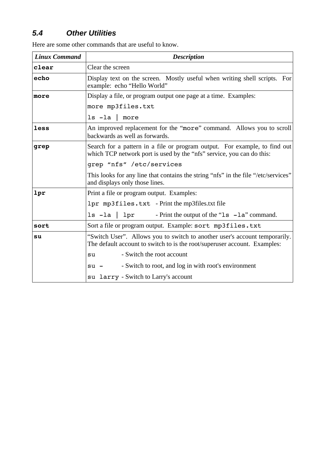# **5.4 Other Utilities**

| <b>Linux Command</b> | <b>Description</b>                                                                                                                                      |  |
|----------------------|---------------------------------------------------------------------------------------------------------------------------------------------------------|--|
| clear                | Clear the screen                                                                                                                                        |  |
| echo                 | Display text on the screen. Mostly useful when writing shell scripts. For<br>example: echo "Hello World"                                                |  |
| more                 | Display a file, or program output one page at a time. Examples:                                                                                         |  |
|                      | more mp3files.txt                                                                                                                                       |  |
|                      | $ls$ $-la$   more                                                                                                                                       |  |
| less                 | An improved replacement for the "more" command. Allows you to scroll<br>backwards as well as forwards.                                                  |  |
| grep                 | Search for a pattern in a file or program output. For example, to find out<br>which TCP network port is used by the "nfs" service, you can do this:     |  |
|                      | grep "nfs" /etc/services                                                                                                                                |  |
|                      | This looks for any line that contains the string "nfs" in the file "/etc/services"<br>and displays only those lines.                                    |  |
| lpr                  | Print a file or program output. Examples:                                                                                                               |  |
|                      | lpr mp3files.txt - Print the mp3files.txt file                                                                                                          |  |
|                      | - Print the output of the " $ls$ - $la$ " command.<br>$ls$ $-la$ $ $ $1pr$                                                                              |  |
| sort                 | Sort a file or program output. Example: sort mp3files.txt                                                                                               |  |
| su                   | "Switch User". Allows you to switch to another user's account temporarily.<br>The default account to switch to is the root/superuser account. Examples: |  |
|                      | - Switch the root account<br>su                                                                                                                         |  |
|                      | - Switch to root, and log in with root's environment<br>$su -$                                                                                          |  |
|                      | su larry - Switch to Larry's account                                                                                                                    |  |

Here are some other commands that are useful to know.